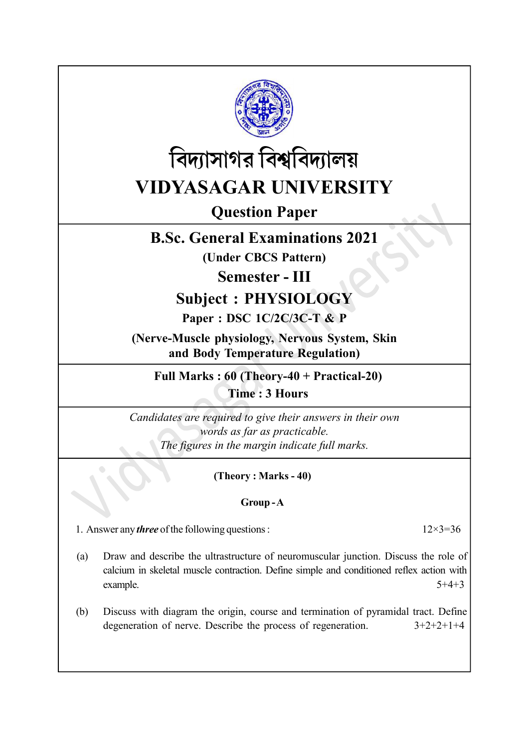

# বিদ্যাসাগর বিশ্ববিদ্যালয় VIDYASAGAR UNIVERSITY

Question Paper

# B.Sc. General Examinations 2021

(Under CBCS Pattern)

Semester - III

# Subject : PHYSIOLOGY

## Paper : DSC 1C/2C/3C-T & P

(Nerve-Muscle physiology, Nervous System, Skin and Body Temperature Regulation)

Full Marks : 60 (Theory-40 + Practical-20) Time : 3 Hours

Candidates are required to give their answers in their own words as far as practicable. The figures in the margin indicate full marks.

(Theory : Marks - 40)

### Group - A

1. Answer any *three* of the following questions :  $12 \times 3 = 36$ 

(a) Draw and describe the ultrastructure of neuromuscular junction. Discuss the role of calcium in skeletal muscle contraction. Define simple and conditioned reflex action with example. 5+4+3

(b) Discuss with diagram the origin, course and termination of pyramidal tract. Define degeneration of nerve. Describe the process of regeneration. 3+2+2+1+4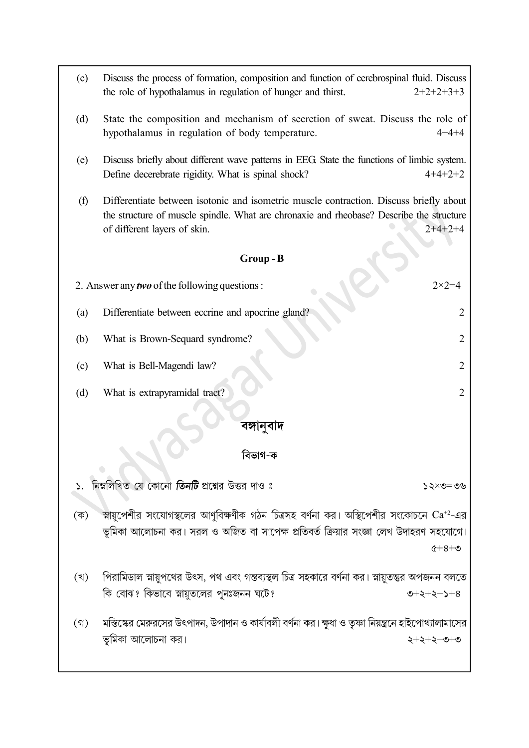- (c) Discuss the process of formation, composition and function of cerebrospinal fluid. Discuss the role of hypothalamus in regulation of hunger and thirst.  $2+2+2+3+3$
- (d) State the composition and mechanism of secretion of sweat. Discuss the role of hypothalamus in regulation of body temperature. 4+4+4
- (e) Discuss briefly about different wave patterns in EEG. State the functions of limbic system. Define decerebrate rigidity. What is spinal shock? 4+4+2+2
- (f) Differentiate between isotonic and isometric muscle contraction. Discuss briefly about the structure of muscle spindle. What are chronaxie and rheobase? Describe the structure of different layers of skin. 2+4+2+4

#### Group - B

|                     | 2. Answer any two of the following questions:                                                                                                                                            | $2 \times 2 = 4$ |  |  |
|---------------------|------------------------------------------------------------------------------------------------------------------------------------------------------------------------------------------|------------------|--|--|
| (a)                 | Differentiate between eccrine and apocrine gland?                                                                                                                                        | $\overline{2}$   |  |  |
| (b)                 | What is Brown-Sequard syndrome?                                                                                                                                                          | $\overline{2}$   |  |  |
| (c)                 | What is Bell-Magendi law?                                                                                                                                                                | $\overline{2}$   |  |  |
| (d)                 | What is extrapyramidal tract?                                                                                                                                                            | $\overline{2}$   |  |  |
| বঙ্গানুবাদ          |                                                                                                                                                                                          |                  |  |  |
|                     | বিভাগ-ক                                                                                                                                                                                  |                  |  |  |
|                     | নিম্নলিখিত যে কোনো <b>তিনটি</b> প্রশ্নের উত্তর দাও ঃ                                                                                                                                     | ১২×৩=৩৬          |  |  |
| $(\overline{\Phi})$ | স্নায়ুপেশীর সংযোগস্থলের আণুবিক্ষণীক গঠন চিত্রসহ বর্ণনা কর। অস্থিপেশীর সংকোচনে $\rm Ca^{+2}$ -এর<br>ভূমিকা আলোচনা কর। সরল ও অজিত বা সাপেক্ষ প্রতিবর্ত ক্রিয়ার সংজ্ঞা লেখ উদাহরণ সহযোগে। | $6 + 8 + 9$      |  |  |
| (খ)                 | পিরামিডাল স্নায়ুপথের উৎস, পথ এবং গন্তব্যস্থল চিত্র সহকারে বর্ণনা কর। স্নায়ুতন্তুর অপজনন বলতে                                                                                           | $8+2+5+8$        |  |  |
|                     | কি বোঝ? কিভাবে স্নায়ুতলের পূনঃজনন ঘটে?                                                                                                                                                  |                  |  |  |
| (3)                 | মস্তিষ্কের মেরুরসের উৎপাদন, উপাদান ও কার্যাবলী বর্ণনা কর। ক্ষুধা ও তৃষ্ণা নিয়ন্ত্রনে হাইপোথ্যালামাসের                                                                                   |                  |  |  |
|                     | ভূমিকা আলোচনা কর।                                                                                                                                                                        | 9+9+2+9+6        |  |  |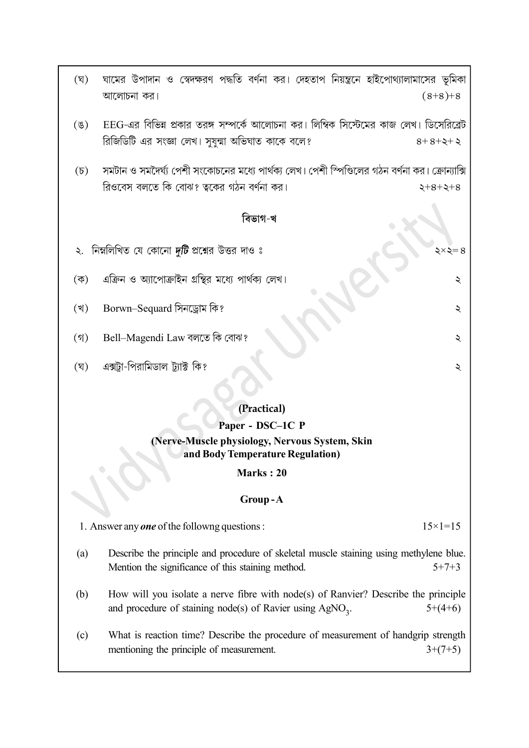- ঘামের উপাদান ও স্বেদক্ষরণ পদ্ধতি বর্ণনা কর। দেহতাপ নিয়ন্ত্রনে হাইপোথ্যালামাসের ভূমিকা  $(\nabla)$ আলোচনা কর।  $(8+8)+8$
- EEG-এর বিভিন্ন প্রকার তরঙ্গ সম্পর্কে আলোচনা কর। লিম্বিক সিস্টেমের কাজ লেখ। ডিসেরিব্রেট  $(\mathscr{G})$ রিজিডিটি এর সংজ্ঞা লেখ। সুযুন্মা অভিঘাত কাকে বলে?  $8 + 8 + 2 + 2$
- সমটান ও সমদৈর্ঘ্য পেশী সংকোচনের মধ্যে পার্থক্য লেখ। পেশী স্পিণ্ডিলের গঠন বর্ণনা কর। ক্রোন্যাক্সি  $(\mathcal{D})$ রিওবেস বলতে কি বোঝ? ত্বকের গঠন বর্ণনা কর।  $2+8+2+8$

### বিভাগ-খ

- ২. নিম্নলিখিত যে কোনো *দুটি* প্রশ্নের উত্তর দাও ঃ
- এক্রিন ও অ্যাপোক্রাইন গ্রন্থির মধ্যে পার্থক্য লেখ।  $(\overline{\Phi})$
- (খ) Borwn–Sequard
- Bell–Magendi Law  $(5)$
- এক্সটা-পিরামিডাল ট্যাক্ট কি?  $(\nabla)$

### (Practical)

#### Paper - DSC–1C P

#### (Nerve-Muscle physiology, Nervous System, Skin and Body Temperature Regulation)

#### Marks : 20

#### Group - A

1. Answer any *one* of the followng questions :  $15 \times 1 = 15$ 

- (a) Describe the principle and procedure of skeletal muscle staining using methylene blue. Mention the significance of this staining method.  $5+7+3$
- (b) How will you isolate a nerve fibre with node(s) of Ranvier? Describe the principle and procedure of staining node(s) of Ravier using  $AgNO<sub>3</sub>$ .  $5+(4+6)$
- (c) What is reaction time? Describe the procedure of measurement of handgrip strength mentioning the principle of measurement.  $3+(7+5)$

২

১ $\times$ ২ $=$ ৪

২

২

২